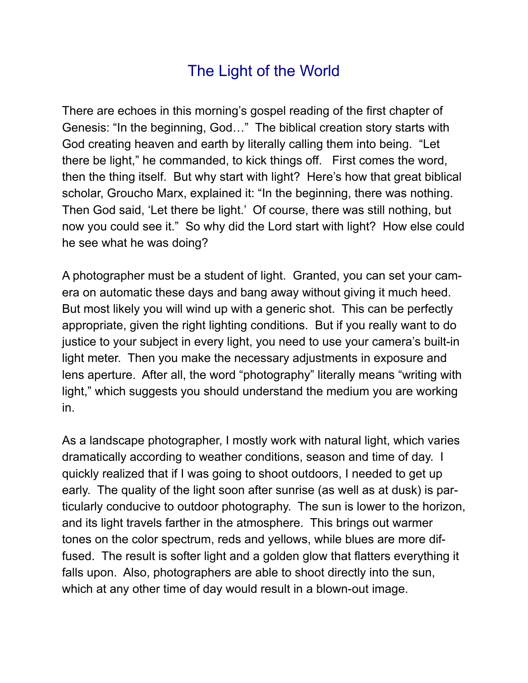## The Light of the World

There are echoes in this morning's gospel reading of the first chapter of Genesis: "In the beginning, God…" The biblical creation story starts with God creating heaven and earth by literally calling them into being. "Let there be light," he commanded, to kick things off. First comes the word, then the thing itself. But why start with light? Here's how that great biblical scholar, Groucho Marx, explained it: "In the beginning, there was nothing. Then God said, 'Let there be light.' Of course, there was still nothing, but now you could see it." So why did the Lord start with light? How else could he see what he was doing?

A photographer must be a student of light. Granted, you can set your camera on automatic these days and bang away without giving it much heed. But most likely you will wind up with a generic shot. This can be perfectly appropriate, given the right lighting conditions. But if you really want to do justice to your subject in every light, you need to use your camera's built-in light meter. Then you make the necessary adjustments in exposure and lens aperture. After all, the word "photography" literally means "writing with light," which suggests you should understand the medium you are working in.

As a landscape photographer, I mostly work with natural light, which varies dramatically according to weather conditions, season and time of day. I quickly realized that if I was going to shoot outdoors, I needed to get up early. The quality of the light soon after sunrise (as well as at dusk) is particularly conducive to outdoor photography. The sun is lower to the horizon, and its light travels farther in the atmosphere. This brings out warmer tones on the color spectrum, reds and yellows, while blues are more diffused. The result is softer light and a golden glow that flatters everything it falls upon. Also, photographers are able to shoot directly into the sun, which at any other time of day would result in a blown-out image.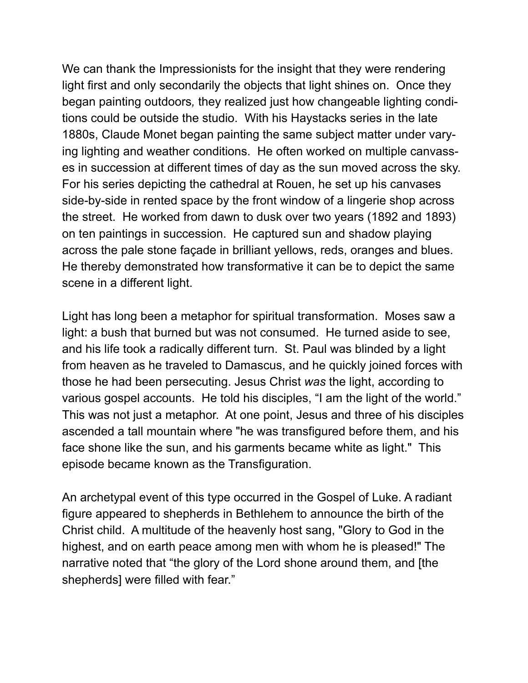We can thank the Impressionists for the insight that they were rendering light first and only secondarily the objects that light shines on. Once they began painting outdoors*,* they realized just how changeable lighting conditions could be outside the studio. With his Haystacks series in the late 1880s, Claude Monet began painting the same subject matter under varying lighting and weather conditions. He often worked on multiple canvasses in succession at different times of day as the sun moved across the sky. For his series depicting the cathedral at Rouen, he set up his canvases side-by-side in rented space by the front window of a lingerie shop across the street. He worked from dawn to dusk over two years (1892 and 1893) on ten paintings in succession. He captured sun and shadow playing across the pale stone façade in brilliant yellows, reds, oranges and blues. He thereby demonstrated how transformative it can be to depict the same scene in a different light.

Light has long been a metaphor for spiritual transformation. Moses saw a light: a bush that burned but was not consumed. He turned aside to see, and his life took a radically different turn. St. Paul was blinded by a light from heaven as he traveled to Damascus, and he quickly joined forces with those he had been persecuting. Jesus Christ *was* the light, according to various gospel accounts. He told his disciples, "I am the light of the world." This was not just a metaphor. At one point, Jesus and three of his disciples ascended a tall mountain where "he was transfigured before them, and his face shone like the sun, and his garments became white as light." This episode became known as the Transfiguration.

An archetypal event of this type occurred in the Gospel of Luke. A radiant figure appeared to shepherds in Bethlehem to announce the birth of the Christ child. A multitude of the heavenly host sang, "Glory to God in the highest, and on earth peace among men with whom he is pleased!" The narrative noted that "the glory of the Lord shone around them, and [the shepherds] were filled with fear."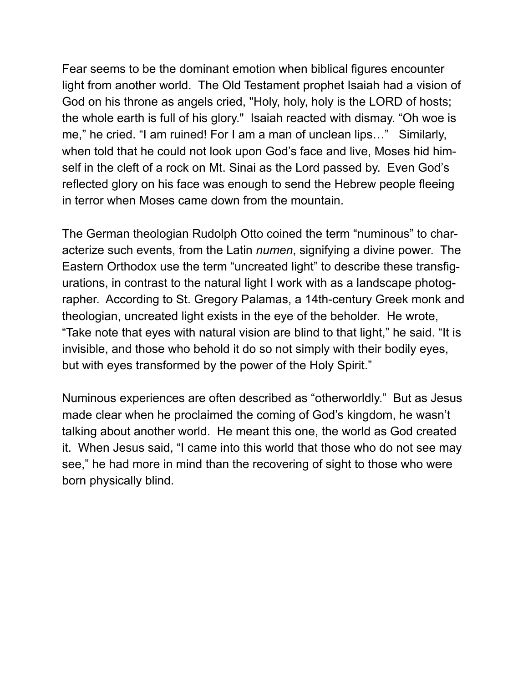Fear seems to be the dominant emotion when biblical figures encounter light from another world. The Old Testament prophet Isaiah had a vision of God on his throne as angels cried, "Holy, holy, holy is the LORD of hosts; the whole earth is full of his glory." Isaiah reacted with dismay. "Oh woe is me," he cried. "I am ruined! For I am a man of unclean lips…" Similarly, when told that he could not look upon God's face and live, Moses hid himself in the cleft of a rock on Mt. Sinai as the Lord passed by. Even God's reflected glory on his face was enough to send the Hebrew people fleeing in terror when Moses came down from the mountain.

The German theologian Rudolph Otto coined the term "numinous" to characterize such events, from the Latin *numen*, signifying a divine power. The Eastern Orthodox use the term "uncreated light" to describe these transfigurations, in contrast to the natural light I work with as a landscape photographer. According to St. Gregory Palamas, a 14th-century Greek monk and theologian, uncreated light exists in the eye of the beholder. He wrote, "Take note that eyes with natural vision are blind to that light," he said. "It is invisible, and those who behold it do so not simply with their bodily eyes, but with eyes transformed by the power of the Holy Spirit."

Numinous experiences are often described as "otherworldly." But as Jesus made clear when he proclaimed the coming of God's kingdom, he wasn't talking about another world. He meant this one, the world as God created it. When Jesus said, "I came into this world that those who do not see may see," he had more in mind than the recovering of sight to those who were born physically blind.